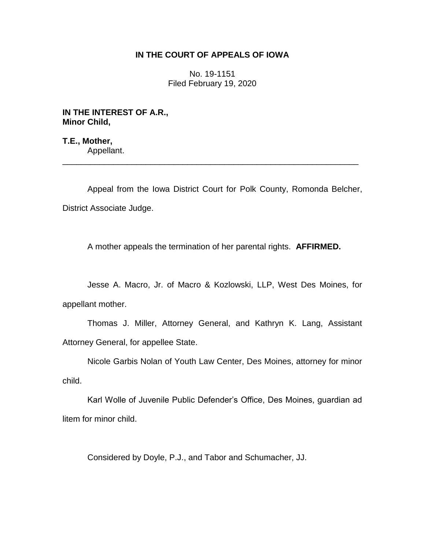# **IN THE COURT OF APPEALS OF IOWA**

No. 19-1151 Filed February 19, 2020

**IN THE INTEREST OF A.R., Minor Child,**

**T.E., Mother,** Appellant.

Appeal from the Iowa District Court for Polk County, Romonda Belcher, District Associate Judge.

\_\_\_\_\_\_\_\_\_\_\_\_\_\_\_\_\_\_\_\_\_\_\_\_\_\_\_\_\_\_\_\_\_\_\_\_\_\_\_\_\_\_\_\_\_\_\_\_\_\_\_\_\_\_\_\_\_\_\_\_\_\_\_\_

A mother appeals the termination of her parental rights. **AFFIRMED.**

Jesse A. Macro, Jr. of Macro & Kozlowski, LLP, West Des Moines, for appellant mother.

Thomas J. Miller, Attorney General, and Kathryn K. Lang, Assistant Attorney General, for appellee State.

Nicole Garbis Nolan of Youth Law Center, Des Moines, attorney for minor child.

Karl Wolle of Juvenile Public Defender's Office, Des Moines, guardian ad litem for minor child.

Considered by Doyle, P.J., and Tabor and Schumacher, JJ.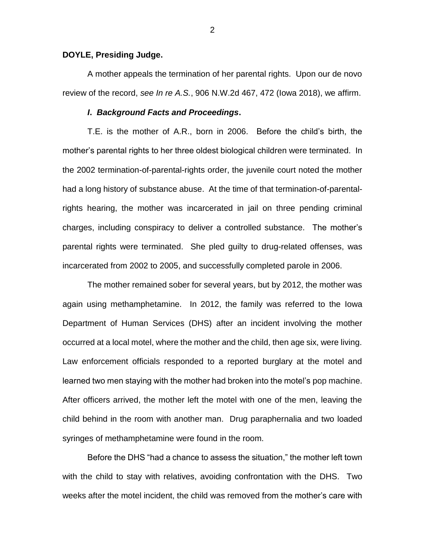## **DOYLE, Presiding Judge.**

A mother appeals the termination of her parental rights. Upon our de novo review of the record, *see In re A.S.*, 906 N.W.2d 467, 472 (Iowa 2018), we affirm.

## *I***.** *Background Facts and Proceedings***.**

T.E. is the mother of A.R., born in 2006. Before the child's birth, the mother's parental rights to her three oldest biological children were terminated. In the 2002 termination-of-parental-rights order, the juvenile court noted the mother had a long history of substance abuse. At the time of that termination-of-parentalrights hearing, the mother was incarcerated in jail on three pending criminal charges, including conspiracy to deliver a controlled substance. The mother's parental rights were terminated. She pled guilty to drug-related offenses, was incarcerated from 2002 to 2005, and successfully completed parole in 2006.

The mother remained sober for several years, but by 2012, the mother was again using methamphetamine. In 2012, the family was referred to the Iowa Department of Human Services (DHS) after an incident involving the mother occurred at a local motel, where the mother and the child, then age six, were living. Law enforcement officials responded to a reported burglary at the motel and learned two men staying with the mother had broken into the motel's pop machine. After officers arrived, the mother left the motel with one of the men, leaving the child behind in the room with another man. Drug paraphernalia and two loaded syringes of methamphetamine were found in the room.

Before the DHS "had a chance to assess the situation," the mother left town with the child to stay with relatives, avoiding confrontation with the DHS. Two weeks after the motel incident, the child was removed from the mother's care with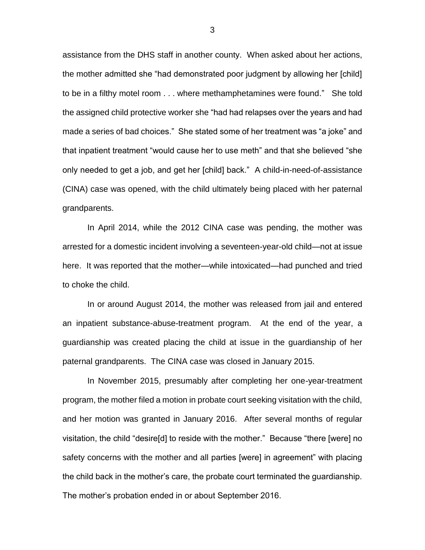assistance from the DHS staff in another county. When asked about her actions, the mother admitted she "had demonstrated poor judgment by allowing her [child] to be in a filthy motel room . . . where methamphetamines were found." She told the assigned child protective worker she "had had relapses over the years and had made a series of bad choices." She stated some of her treatment was "a joke" and that inpatient treatment "would cause her to use meth" and that she believed "she only needed to get a job, and get her [child] back." A child-in-need-of-assistance (CINA) case was opened, with the child ultimately being placed with her paternal grandparents.

In April 2014, while the 2012 CINA case was pending, the mother was arrested for a domestic incident involving a seventeen-year-old child—not at issue here. It was reported that the mother—while intoxicated—had punched and tried to choke the child.

In or around August 2014, the mother was released from jail and entered an inpatient substance-abuse-treatment program. At the end of the year, a guardianship was created placing the child at issue in the guardianship of her paternal grandparents. The CINA case was closed in January 2015.

In November 2015, presumably after completing her one-year-treatment program, the mother filed a motion in probate court seeking visitation with the child, and her motion was granted in January 2016. After several months of regular visitation, the child "desire[d] to reside with the mother." Because "there [were] no safety concerns with the mother and all parties [were] in agreement" with placing the child back in the mother's care, the probate court terminated the guardianship. The mother's probation ended in or about September 2016.

3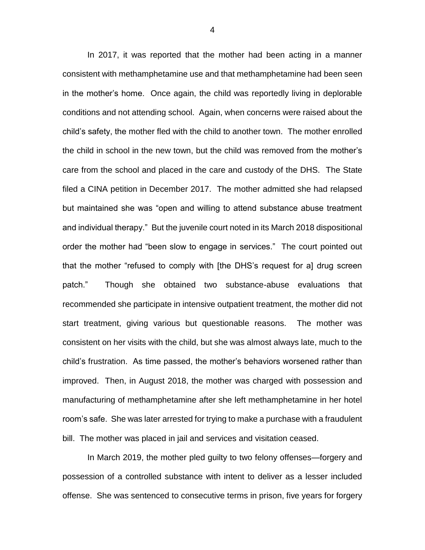In 2017, it was reported that the mother had been acting in a manner consistent with methamphetamine use and that methamphetamine had been seen in the mother's home. Once again, the child was reportedly living in deplorable conditions and not attending school. Again, when concerns were raised about the child's safety, the mother fled with the child to another town. The mother enrolled the child in school in the new town, but the child was removed from the mother's care from the school and placed in the care and custody of the DHS. The State filed a CINA petition in December 2017. The mother admitted she had relapsed but maintained she was "open and willing to attend substance abuse treatment and individual therapy." But the juvenile court noted in its March 2018 dispositional order the mother had "been slow to engage in services." The court pointed out that the mother "refused to comply with [the DHS's request for a] drug screen patch." Though she obtained two substance-abuse evaluations that recommended she participate in intensive outpatient treatment, the mother did not start treatment, giving various but questionable reasons. The mother was consistent on her visits with the child, but she was almost always late, much to the child's frustration. As time passed, the mother's behaviors worsened rather than improved. Then, in August 2018, the mother was charged with possession and manufacturing of methamphetamine after she left methamphetamine in her hotel room's safe. She was later arrested for trying to make a purchase with a fraudulent bill. The mother was placed in jail and services and visitation ceased.

In March 2019, the mother pled guilty to two felony offenses—forgery and possession of a controlled substance with intent to deliver as a lesser included offense. She was sentenced to consecutive terms in prison, five years for forgery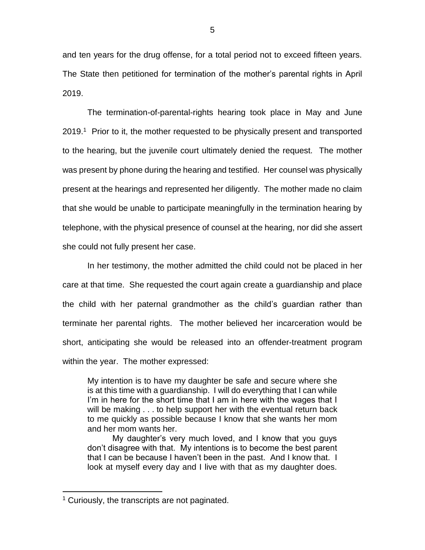and ten years for the drug offense, for a total period not to exceed fifteen years. The State then petitioned for termination of the mother's parental rights in April 2019.

The termination-of-parental-rights hearing took place in May and June 2019.<sup>1</sup> Prior to it, the mother requested to be physically present and transported to the hearing, but the juvenile court ultimately denied the request. The mother was present by phone during the hearing and testified. Her counsel was physically present at the hearings and represented her diligently. The mother made no claim that she would be unable to participate meaningfully in the termination hearing by telephone, with the physical presence of counsel at the hearing, nor did she assert she could not fully present her case.

In her testimony, the mother admitted the child could not be placed in her care at that time. She requested the court again create a guardianship and place the child with her paternal grandmother as the child's guardian rather than terminate her parental rights. The mother believed her incarceration would be short, anticipating she would be released into an offender-treatment program within the year. The mother expressed:

My intention is to have my daughter be safe and secure where she is at this time with a guardianship. I will do everything that I can while I'm in here for the short time that I am in here with the wages that I will be making . . . to help support her with the eventual return back to me quickly as possible because I know that she wants her mom and her mom wants her.

My daughter's very much loved, and I know that you guys don't disagree with that. My intentions is to become the best parent that I can be because I haven't been in the past. And I know that. I look at myself every day and I live with that as my daughter does.

 $\overline{a}$ 

<sup>&</sup>lt;sup>1</sup> Curiously, the transcripts are not paginated.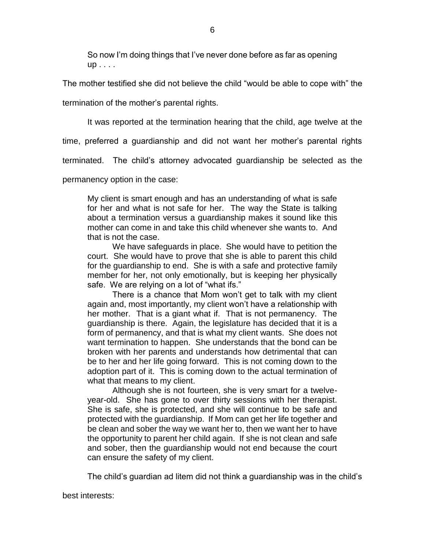So now I'm doing things that I've never done before as far as opening up . . . .

The mother testified she did not believe the child "would be able to cope with" the

termination of the mother's parental rights.

It was reported at the termination hearing that the child, age twelve at the

time, preferred a guardianship and did not want her mother's parental rights

terminated. The child's attorney advocated guardianship be selected as the

permanency option in the case:

My client is smart enough and has an understanding of what is safe for her and what is not safe for her. The way the State is talking about a termination versus a guardianship makes it sound like this mother can come in and take this child whenever she wants to. And that is not the case.

We have safeguards in place. She would have to petition the court. She would have to prove that she is able to parent this child for the guardianship to end. She is with a safe and protective family member for her, not only emotionally, but is keeping her physically safe. We are relying on a lot of "what ifs."

There is a chance that Mom won't get to talk with my client again and, most importantly, my client won't have a relationship with her mother. That is a giant what if. That is not permanency. The guardianship is there. Again, the legislature has decided that it is a form of permanency, and that is what my client wants. She does not want termination to happen. She understands that the bond can be broken with her parents and understands how detrimental that can be to her and her life going forward. This is not coming down to the adoption part of it. This is coming down to the actual termination of what that means to my client.

Although she is not fourteen, she is very smart for a twelveyear-old. She has gone to over thirty sessions with her therapist. She is safe, she is protected, and she will continue to be safe and protected with the guardianship. If Mom can get her life together and be clean and sober the way we want her to, then we want her to have the opportunity to parent her child again. If she is not clean and safe and sober, then the guardianship would not end because the court can ensure the safety of my client.

The child's guardian ad litem did not think a guardianship was in the child's

best interests: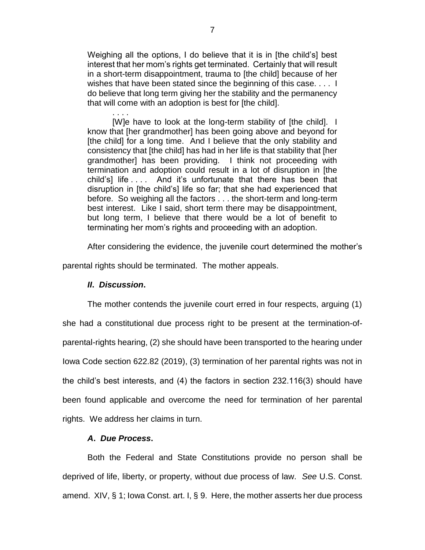Weighing all the options, I do believe that it is in [the child's] best interest that her mom's rights get terminated. Certainly that will result in a short-term disappointment, trauma to [the child] because of her wishes that have been stated since the beginning of this case.... I do believe that long term giving her the stability and the permanency that will come with an adoption is best for [the child].

[W]e have to look at the long-term stability of [the child]. I know that [her grandmother] has been going above and beyond for [the child] for a long time. And I believe that the only stability and consistency that [the child] has had in her life is that stability that [her grandmother] has been providing. I think not proceeding with termination and adoption could result in a lot of disruption in [the child's] life . . . . And it's unfortunate that there has been that disruption in [the child's] life so far; that she had experienced that before. So weighing all the factors . . . the short-term and long-term best interest. Like I said, short term there may be disappointment, but long term, I believe that there would be a lot of benefit to terminating her mom's rights and proceeding with an adoption.

After considering the evidence, the juvenile court determined the mother's

parental rights should be terminated. The mother appeals.

## *II***.** *Discussion***.**

. . . .

The mother contends the juvenile court erred in four respects, arguing (1) she had a constitutional due process right to be present at the termination-ofparental-rights hearing, (2) she should have been transported to the hearing under Iowa Code section 622.82 (2019), (3) termination of her parental rights was not in the child's best interests, and (4) the factors in section 232.116(3) should have been found applicable and overcome the need for termination of her parental rights. We address her claims in turn.

## *A***.** *Due Process***.**

Both the Federal and State Constitutions provide no person shall be deprived of life, liberty, or property, without due process of law. *See* U.S. Const. amend. XIV, § 1; Iowa Const. art. I, § 9. Here, the mother asserts her due process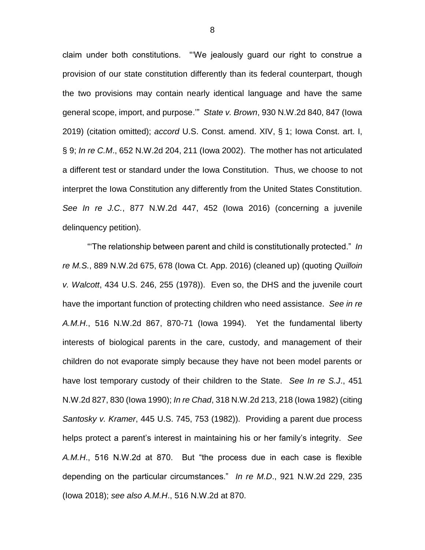claim under both constitutions. "'We jealously guard our right to construe a provision of our state constitution differently than its federal counterpart, though the two provisions may contain nearly identical language and have the same general scope, import, and purpose.'" *State v. Brown*, 930 N.W.2d 840, 847 (Iowa 2019) (citation omitted); *accord* U.S. Const. amend. XIV, § 1; Iowa Const. art. I, § 9; *In re C.M*., 652 N.W.2d 204, 211 (Iowa 2002). The mother has not articulated a different test or standard under the Iowa Constitution. Thus, we choose to not interpret the Iowa Constitution any differently from the United States Constitution. *See In re J.C.*, 877 N.W.2d 447, 452 (Iowa 2016) (concerning a juvenile delinquency petition).

"'The relationship between parent and child is constitutionally protected." *In re M.S.*, 889 N.W.2d 675, 678 (Iowa Ct. App. 2016) (cleaned up) (quoting *Quilloin v. Walcott*, 434 U.S. 246, 255 (1978)). Even so, the DHS and the juvenile court have the important function of protecting children who need assistance. *See in re A.M.H*., 516 N.W.2d 867, 870-71 (Iowa 1994). Yet the fundamental liberty interests of biological parents in the care, custody, and management of their children do not evaporate simply because they have not been model parents or have lost temporary custody of their children to the State. *See In re S.J*., 451 N.W.2d 827, 830 (Iowa 1990); *In re Chad*, 318 N.W.2d 213, 218 (Iowa 1982) (citing *Santosky v. Kramer*, 445 U.S. 745, 753 (1982)). Providing a parent due process helps protect a parent's interest in maintaining his or her family's integrity. *See A.M.H*., 516 N.W.2d at 870. But "the process due in each case is flexible depending on the particular circumstances." *In re M.D*., 921 N.W.2d 229, 235 (Iowa 2018); *see also A.M.H*., 516 N.W.2d at 870.

8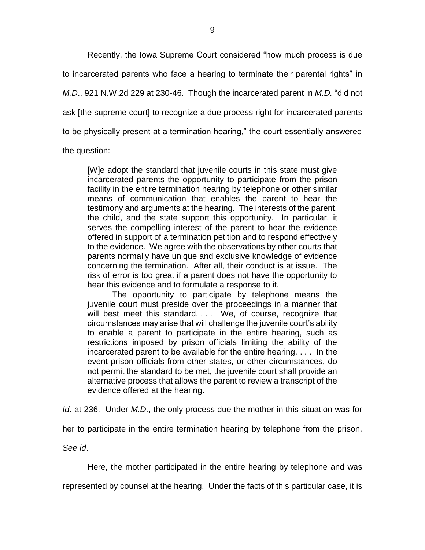Recently, the Iowa Supreme Court considered "how much process is due to incarcerated parents who face a hearing to terminate their parental rights" in *M.D*., 921 N.W.2d 229 at 230-46. Though the incarcerated parent in *M.D.* "did not ask [the supreme court] to recognize a due process right for incarcerated parents to be physically present at a termination hearing," the court essentially answered

the question:

[W]e adopt the standard that juvenile courts in this state must give incarcerated parents the opportunity to participate from the prison facility in the entire termination hearing by telephone or other similar means of communication that enables the parent to hear the testimony and arguments at the hearing. The interests of the parent, the child, and the state support this opportunity. In particular, it serves the compelling interest of the parent to hear the evidence offered in support of a termination petition and to respond effectively to the evidence. We agree with the observations by other courts that parents normally have unique and exclusive knowledge of evidence concerning the termination. After all, their conduct is at issue. The risk of error is too great if a parent does not have the opportunity to hear this evidence and to formulate a response to it.

The opportunity to participate by telephone means the juvenile court must preside over the proceedings in a manner that will best meet this standard. . . We, of course, recognize that circumstances may arise that will challenge the juvenile court's ability to enable a parent to participate in the entire hearing, such as restrictions imposed by prison officials limiting the ability of the incarcerated parent to be available for the entire hearing. . . . In the event prison officials from other states, or other circumstances, do not permit the standard to be met, the juvenile court shall provide an alternative process that allows the parent to review a transcript of the evidence offered at the hearing.

*Id*. at 236. Under *M.D*., the only process due the mother in this situation was for

her to participate in the entire termination hearing by telephone from the prison.

*See id*.

Here, the mother participated in the entire hearing by telephone and was

represented by counsel at the hearing. Under the facts of this particular case, it is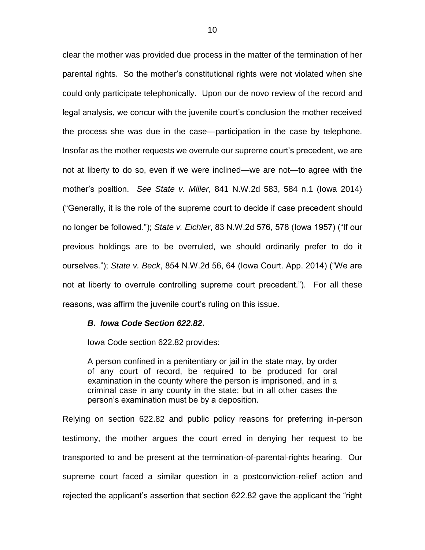clear the mother was provided due process in the matter of the termination of her parental rights. So the mother's constitutional rights were not violated when she could only participate telephonically. Upon our de novo review of the record and legal analysis, we concur with the juvenile court's conclusion the mother received the process she was due in the case—participation in the case by telephone. Insofar as the mother requests we overrule our supreme court's precedent, we are not at liberty to do so, even if we were inclined—we are not—to agree with the mother's position. *See State v. Miller*, 841 N.W.2d 583, 584 n.1 (Iowa 2014) ("Generally, it is the role of the supreme court to decide if case precedent should no longer be followed."); *State v. Eichler*, 83 N.W.2d 576, 578 (Iowa 1957) ("If our previous holdings are to be overruled, we should ordinarily prefer to do it ourselves."); *State v. Beck*, 854 N.W.2d 56, 64 (Iowa Court. App. 2014) ("We are not at liberty to overrule controlling supreme court precedent."). For all these reasons, was affirm the juvenile court's ruling on this issue.

#### *B***.** *Iowa Code Section 622.82***.**

Iowa Code section 622.82 provides:

A person confined in a penitentiary or jail in the state may, by order of any court of record, be required to be produced for oral examination in the county where the person is imprisoned, and in a criminal case in any county in the state; but in all other cases the person's examination must be by a deposition.

Relying on section 622.82 and public policy reasons for preferring in-person testimony, the mother argues the court erred in denying her request to be transported to and be present at the termination-of-parental-rights hearing. Our supreme court faced a similar question in a postconviction-relief action and rejected the applicant's assertion that section 622.82 gave the applicant the "right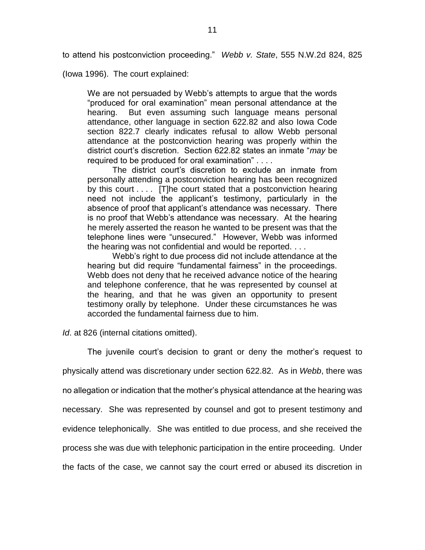to attend his postconviction proceeding." *Webb v. State*, 555 N.W.2d 824, 825

(Iowa 1996). The court explained:

We are not persuaded by Webb's attempts to argue that the words "produced for oral examination" mean personal attendance at the hearing. But even assuming such language means personal attendance, other language in section 622.82 and also Iowa Code section 822.7 clearly indicates refusal to allow Webb personal attendance at the postconviction hearing was properly within the district court's discretion. Section 622.82 states an inmate "*may* be required to be produced for oral examination" . . . .

The district court's discretion to exclude an inmate from personally attending a postconviction hearing has been recognized by this court . . . . [T]he court stated that a postconviction hearing need not include the applicant's testimony, particularly in the absence of proof that applicant's attendance was necessary. There is no proof that Webb's attendance was necessary. At the hearing he merely asserted the reason he wanted to be present was that the telephone lines were "unsecured." However, Webb was informed the hearing was not confidential and would be reported. . . .

Webb's right to due process did not include attendance at the hearing but did require "fundamental fairness" in the proceedings. Webb does not deny that he received advance notice of the hearing and telephone conference, that he was represented by counsel at the hearing, and that he was given an opportunity to present testimony orally by telephone. Under these circumstances he was accorded the fundamental fairness due to him.

*Id*. at 826 (internal citations omitted).

The juvenile court's decision to grant or deny the mother's request to physically attend was discretionary under section 622.82. As in *Webb*, there was no allegation or indication that the mother's physical attendance at the hearing was necessary. She was represented by counsel and got to present testimony and evidence telephonically. She was entitled to due process, and she received the process she was due with telephonic participation in the entire proceeding. Under the facts of the case, we cannot say the court erred or abused its discretion in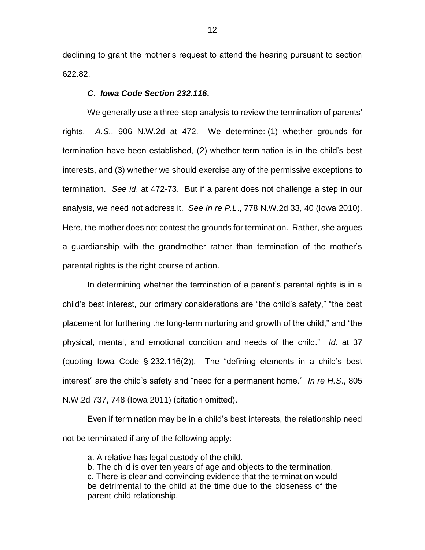declining to grant the mother's request to attend the hearing pursuant to section 622.82.

## *C***.** *Iowa Code Section 232.116***.**

We generally use a three-step analysis to review the termination of parents' rights. *A.S*., 906 N.W.2d at 472. We determine: (1) whether grounds for termination have been established, (2) whether termination is in the child's best interests, and (3) whether we should exercise any of the permissive exceptions to termination. *See id*. at 472-73. But if a parent does not challenge a step in our analysis, we need not address it. *See In re P.L*., 778 N.W.2d 33, 40 (Iowa 2010). Here, the mother does not contest the grounds for termination. Rather, she argues a guardianship with the grandmother rather than termination of the mother's parental rights is the right course of action.

In determining whether the termination of a parent's parental rights is in a child's best interest, our primary considerations are "the child's safety," "the best placement for furthering the long-term nurturing and growth of the child," and "the physical, mental, and emotional condition and needs of the child." *Id*. at 37 (quoting Iowa Code § 232.116(2)). The "defining elements in a child's best interest" are the child's safety and "need for a permanent home." *In re H.S*., 805 N.W.2d 737, 748 (Iowa 2011) (citation omitted).

Even if termination may be in a child's best interests, the relationship need not be terminated if any of the following apply:

a. A relative has legal custody of the child.

b. The child is over ten years of age and objects to the termination.

c. There is clear and convincing evidence that the termination would be detrimental to the child at the time due to the closeness of the parent-child relationship.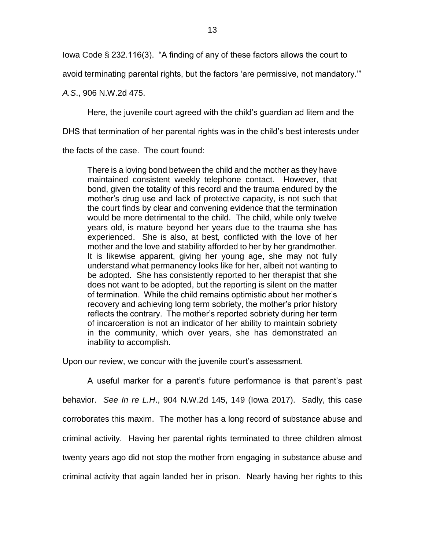Iowa Code § 232.116(3). "A finding of any of these factors allows the court to

avoid terminating parental rights, but the factors 'are permissive, not mandatory.'"

*A.S*., 906 N.W.2d 475.

Here, the juvenile court agreed with the child's guardian ad litem and the

DHS that termination of her parental rights was in the child's best interests under

the facts of the case. The court found:

There is a loving bond between the child and the mother as they have maintained consistent weekly telephone contact. However, that bond, given the totality of this record and the trauma endured by the mother's drug use and lack of protective capacity, is not such that the court finds by clear and convening evidence that the termination would be more detrimental to the child. The child, while only twelve years old, is mature beyond her years due to the trauma she has experienced. She is also, at best, conflicted with the love of her mother and the love and stability afforded to her by her grandmother. It is likewise apparent, giving her young age, she may not fully understand what permanency looks like for her, albeit not wanting to be adopted. She has consistently reported to her therapist that she does not want to be adopted, but the reporting is silent on the matter of termination. While the child remains optimistic about her mother's recovery and achieving long term sobriety, the mother's prior history reflects the contrary. The mother's reported sobriety during her term of incarceration is not an indicator of her ability to maintain sobriety in the community, which over years, she has demonstrated an inability to accomplish.

Upon our review, we concur with the juvenile court's assessment.

A useful marker for a parent's future performance is that parent's past behavior. *See In re L.H*., 904 N.W.2d 145, 149 (Iowa 2017). Sadly, this case corroborates this maxim. The mother has a long record of substance abuse and criminal activity. Having her parental rights terminated to three children almost twenty years ago did not stop the mother from engaging in substance abuse and criminal activity that again landed her in prison. Nearly having her rights to this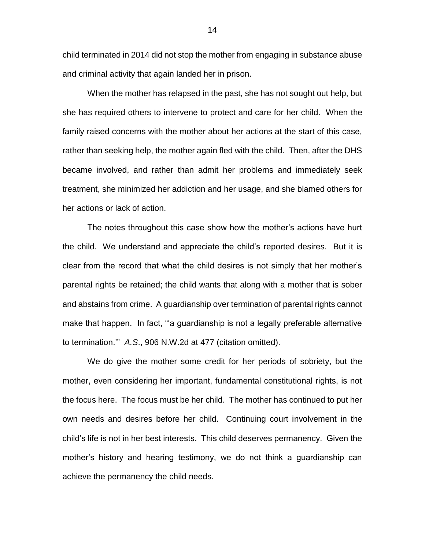child terminated in 2014 did not stop the mother from engaging in substance abuse and criminal activity that again landed her in prison.

When the mother has relapsed in the past, she has not sought out help, but she has required others to intervene to protect and care for her child. When the family raised concerns with the mother about her actions at the start of this case, rather than seeking help, the mother again fled with the child. Then, after the DHS became involved, and rather than admit her problems and immediately seek treatment, she minimized her addiction and her usage, and she blamed others for her actions or lack of action.

The notes throughout this case show how the mother's actions have hurt the child. We understand and appreciate the child's reported desires. But it is clear from the record that what the child desires is not simply that her mother's parental rights be retained; the child wants that along with a mother that is sober and abstains from crime. A guardianship over termination of parental rights cannot make that happen. In fact, "'a guardianship is not a legally preferable alternative to termination.'" *A.S*., 906 N.W.2d at 477 (citation omitted).

We do give the mother some credit for her periods of sobriety, but the mother, even considering her important, fundamental constitutional rights, is not the focus here. The focus must be her child. The mother has continued to put her own needs and desires before her child. Continuing court involvement in the child's life is not in her best interests. This child deserves permanency. Given the mother's history and hearing testimony, we do not think a guardianship can achieve the permanency the child needs.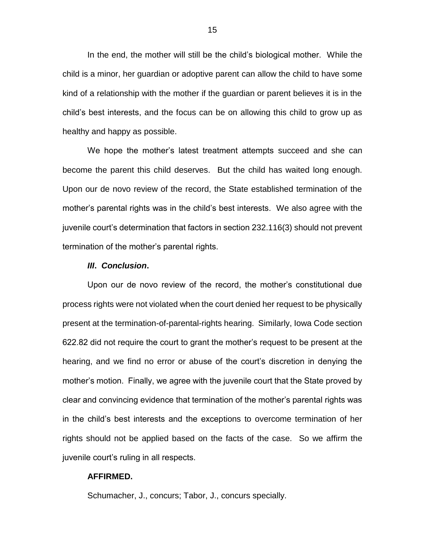In the end, the mother will still be the child's biological mother. While the child is a minor, her guardian or adoptive parent can allow the child to have some kind of a relationship with the mother if the guardian or parent believes it is in the child's best interests, and the focus can be on allowing this child to grow up as healthy and happy as possible.

We hope the mother's latest treatment attempts succeed and she can become the parent this child deserves. But the child has waited long enough. Upon our de novo review of the record, the State established termination of the mother's parental rights was in the child's best interests. We also agree with the juvenile court's determination that factors in section 232.116(3) should not prevent termination of the mother's parental rights.

#### *III***.** *Conclusion***.**

Upon our de novo review of the record, the mother's constitutional due process rights were not violated when the court denied her request to be physically present at the termination-of-parental-rights hearing. Similarly, Iowa Code section 622.82 did not require the court to grant the mother's request to be present at the hearing, and we find no error or abuse of the court's discretion in denying the mother's motion. Finally, we agree with the juvenile court that the State proved by clear and convincing evidence that termination of the mother's parental rights was in the child's best interests and the exceptions to overcome termination of her rights should not be applied based on the facts of the case. So we affirm the juvenile court's ruling in all respects.

### **AFFIRMED.**

Schumacher, J., concurs; Tabor, J., concurs specially.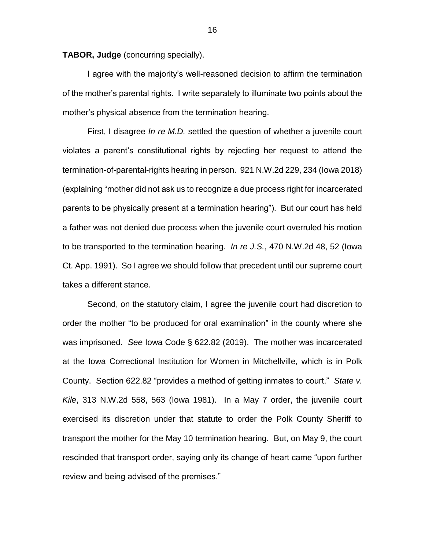**TABOR, Judge** (concurring specially).

I agree with the majority's well-reasoned decision to affirm the termination of the mother's parental rights. I write separately to illuminate two points about the mother's physical absence from the termination hearing.

First, I disagree *In re M.D.* settled the question of whether a juvenile court violates a parent's constitutional rights by rejecting her request to attend the termination-of-parental-rights hearing in person. 921 N.W.2d 229, 234 (Iowa 2018) (explaining "mother did not ask us to recognize a due process right for incarcerated parents to be physically present at a termination hearing"). But our court has held a father was not denied due process when the juvenile court overruled his motion to be transported to the termination hearing. *In re J.S.*, 470 N.W.2d 48, 52 (Iowa Ct. App. 1991). So I agree we should follow that precedent until our supreme court takes a different stance.

Second, on the statutory claim, I agree the juvenile court had discretion to order the mother "to be produced for oral examination" in the county where she was imprisoned. *See* Iowa Code § 622.82 (2019). The mother was incarcerated at the Iowa Correctional Institution for Women in Mitchellville, which is in Polk County. Section 622.82 "provides a method of getting inmates to court." *State v. Kile*, 313 N.W.2d 558, 563 (Iowa 1981). In a May 7 order, the juvenile court exercised its discretion under that statute to order the Polk County Sheriff to transport the mother for the May 10 termination hearing. But, on May 9, the court rescinded that transport order, saying only its change of heart came "upon further review and being advised of the premises."

16